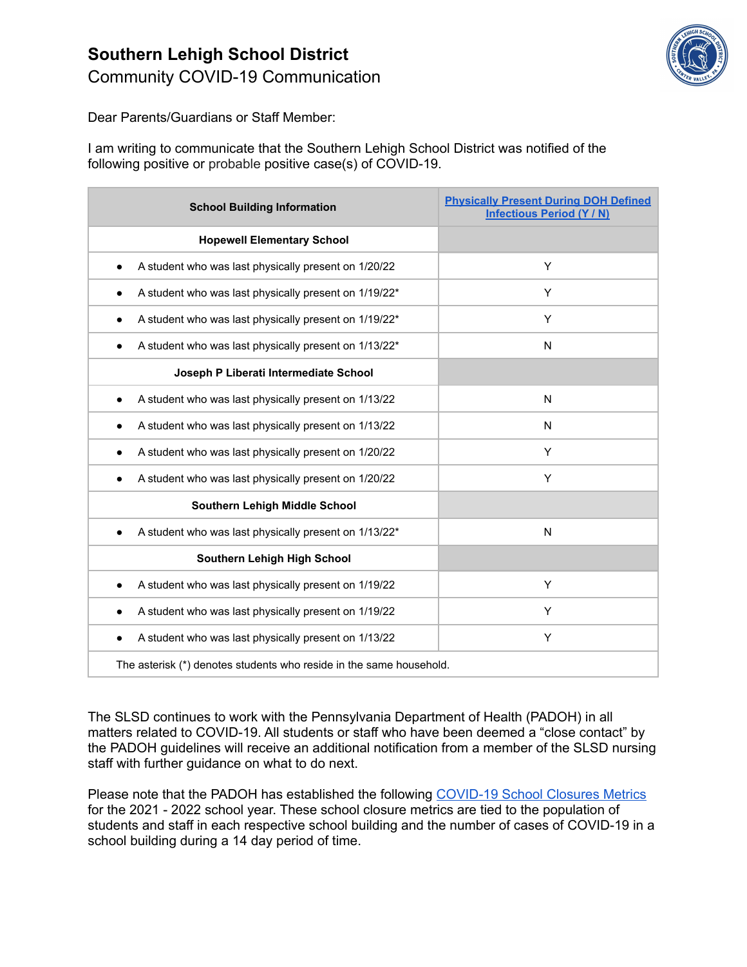## **Southern Lehigh School District** Community COVID-19 Communication



Dear Parents/Guardians or Staff Member:

I am writing to communicate that the Southern Lehigh School District was notified of the following positive or probable positive case(s) of COVID-19.

| <b>School Building Information</b>                                  | <b>Physically Present During DOH Defined</b><br><b>Infectious Period (Y / N)</b> |
|---------------------------------------------------------------------|----------------------------------------------------------------------------------|
| <b>Hopewell Elementary School</b>                                   |                                                                                  |
| A student who was last physically present on 1/20/22                | Y                                                                                |
| A student who was last physically present on 1/19/22*               | Υ                                                                                |
| A student who was last physically present on 1/19/22*               | Y                                                                                |
| A student who was last physically present on 1/13/22*<br>$\bullet$  | N                                                                                |
| Joseph P Liberati Intermediate School                               |                                                                                  |
| A student who was last physically present on 1/13/22<br>٠           | N                                                                                |
| A student who was last physically present on 1/13/22<br>$\bullet$   | N                                                                                |
| A student who was last physically present on 1/20/22<br>$\bullet$   | Y                                                                                |
| A student who was last physically present on 1/20/22                | Y                                                                                |
| Southern Lehigh Middle School                                       |                                                                                  |
| A student who was last physically present on 1/13/22*               | N                                                                                |
| <b>Southern Lehigh High School</b>                                  |                                                                                  |
| A student who was last physically present on 1/19/22<br>٠           | Υ                                                                                |
| A student who was last physically present on 1/19/22                | Y                                                                                |
| A student who was last physically present on 1/13/22<br>$\bullet$   | Y                                                                                |
| The asterisk (*) denotes students who reside in the same household. |                                                                                  |

The SLSD continues to work with the Pennsylvania Department of Health (PADOH) in all matters related to COVID-19. All students or staff who have been deemed a "close contact" by the PADOH guidelines will receive an additional notification from a member of the SLSD nursing staff with further guidance on what to do next.

Please note that the PADOH has established the following [COVID-19](https://docs.google.com/document/d/1NuEjBJeDsb_Bqv8w24YntdH-JYhbcqFLgNJXfBo9yr0/edit?usp=sharing) School Closures Metrics for the 2021 - 2022 school year. These school closure metrics are tied to the population of students and staff in each respective school building and the number of cases of COVID-19 in a school building during a 14 day period of time.